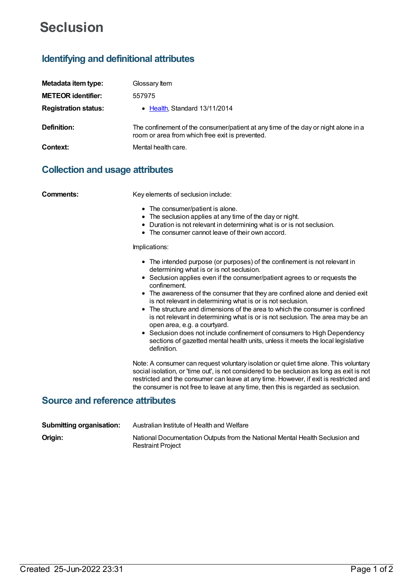# **Seclusion**

# **Identifying and definitional attributes**

| Metadata item type:         | Glossary Item                                                                                                                         |
|-----------------------------|---------------------------------------------------------------------------------------------------------------------------------------|
| <b>METEOR identifier:</b>   | 557975                                                                                                                                |
| <b>Registration status:</b> | • Health, Standard 13/11/2014                                                                                                         |
| Definition:                 | The confinement of the consumer/patient at any time of the day or night alone in a<br>room or area from which free exit is prevented. |
| Context:                    | Mental health care.                                                                                                                   |

# **Collection and usage attributes**

**Comments:** Key elements of seclusion include:

- The consumer/patient is alone.
- The seclusion applies at any time of the day or night.
- Duration is not relevant in determining what is or is not seclusion.
- The consumer cannot leave of their own accord.

#### Implications:

- The intended purpose (or purposes) of the confinement is not relevant in determining what is or is not seclusion.
- Seclusion applies even if the consumer/patient agrees to or requests the confinement.
- The awareness of the consumer that they are confined alone and denied exit is not relevant in determining what is or is not seclusion.
- The structure and dimensions of the area to which the consumer is confined is not relevant in determining what is or is not seclusion. The area may be an open area, e.g. a courtyard.
- Seclusion does not include confinement of consumers to High Dependency sections of gazetted mental health units, unless it meets the local legislative definition.

Note: A consumer can request voluntary isolation or quiet time alone. This voluntary social isolation, or 'time out', is not considered to be seclusion as long as exit is not restricted and the consumer can leave at any time. However, if exit is restricted and the consumer is not free to leave at any time, then this is regarded as seclusion.

### **Source and reference attributes**

| <b>Submitting organisation:</b> | Australian Institute of Health and Welfare                                                               |
|---------------------------------|----------------------------------------------------------------------------------------------------------|
| Origin:                         | National Documentation Outputs from the National Mental Health Seclusion and<br><b>Restraint Project</b> |